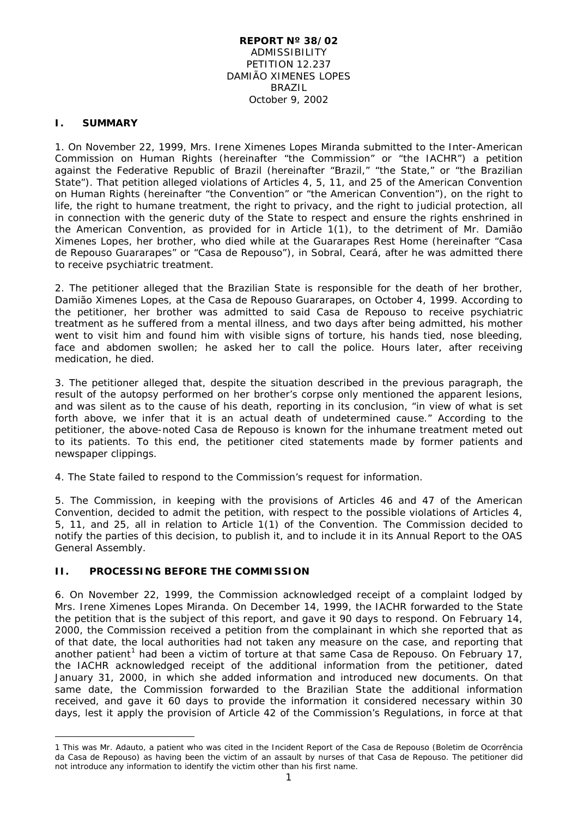#### **REPORT Nº 38/02** ADMISSIBILITY PETITION 12.237 DAMIÃO XIMENES LOPES BRAZIL October 9, 2002

#### **I. SUMMARY**

1. On November 22, 1999, Mrs. Irene Ximenes Lopes Miranda submitted to the Inter-American Commission on Human Rights (hereinafter "the Commission" or "the IACHR") a petition against the Federative Republic of Brazil (hereinafter "Brazil," "the State," or "the Brazilian State"). That petition alleged violations of Articles 4, 5, 11, and 25 of the American Convention on Human Rights (hereinafter "the Convention" or "the American Convention"), on the right to life, the right to humane treatment, the right to privacy, and the right to judicial protection, all in connection with the generic duty of the State to respect and ensure the rights enshrined in the American Convention, as provided for in Article 1(1), to the detriment of Mr. Damião Ximenes Lopes, her brother, who died while at the Guararapes Rest Home (hereinafter "*Casa de Repouso Guararapes*" or "*Casa de Repouso*"), in Sobral, Ceará, after he was admitted there to receive psychiatric treatment.

2. The petitioner alleged that the Brazilian State is responsible for the death of her brother, Damião Ximenes Lopes, at the *Casa de Repouso Guararapes*, on October 4, 1999. According to the petitioner, her brother was admitted to said *Casa de Repouso* to receive psychiatric treatment as he suffered from a mental illness, and two days after being admitted, his mother went to visit him and found him with visible signs of torture, his hands tied, nose bleeding, face and abdomen swollen; he asked her to call the police. Hours later, after receiving medication, he died.

3. The petitioner alleged that, despite the situation described in the previous paragraph, the result of the autopsy performed on her brother's corpse only mentioned the apparent lesions, and was silent as to the cause of his death, reporting in its conclusion, "in view of what is set forth above, we infer that it is an actual death of undetermined cause." According to the petitioner, the above-noted *Casa de Repouso* is known for the inhumane treatment meted out to its patients. To this end, the petitioner cited statements made by former patients and newspaper clippings.

4. The State failed to respond to the Commission's request for information.

5. The Commission, in keeping with the provisions of Articles 46 and 47 of the American Convention, decided to admit the petition, with respect to the possible violations of Articles 4, 5, 11, and 25, all in relation to Article 1(1) of the Convention. The Commission decided to notify the parties of this decision, to publish it, and to include it in its Annual Report to the OAS General Assembly.

#### **II. PROCESSING BEFORE THE COMMISSION**

<u>.</u>

6. On November 22, 1999, the Commission acknowledged receipt of a complaint lodged by Mrs. Irene Ximenes Lopes Miranda. On December 14, 1999, the IACHR forwarded to the State the petition that is the subject of this report, and gave it 90 days to respond. On February 14, 2000, the Commission received a petition from the complainant in which she reported that as of that date, the local authorities had not taken any measure on the case, and reporting that another patient<sup>[1](#page-0-0)</sup> had been a victim of torture at that same *Casa de Repouso*. On February 17, the IACHR acknowledged receipt of the additional information from the petitioner, dated January 31, 2000, in which she added information and introduced new documents. On that same date, the Commission forwarded to the Brazilian State the additional information received, and gave it 60 days to provide the information it considered necessary within 30 days, lest it apply the provision of Article 42 of the Commission's Regulations, in force at that

<span id="page-0-0"></span><sup>1</sup> This was Mr. Adauto, a patient who was cited in the Incident Report of the *Casa de Repouso (Boletim de Ocorrência da Casa de Repouso*) as having been the victim of an assault by nurses of that *Casa de Repouso*. The petitioner did not introduce any information to identify the victim other than his first name.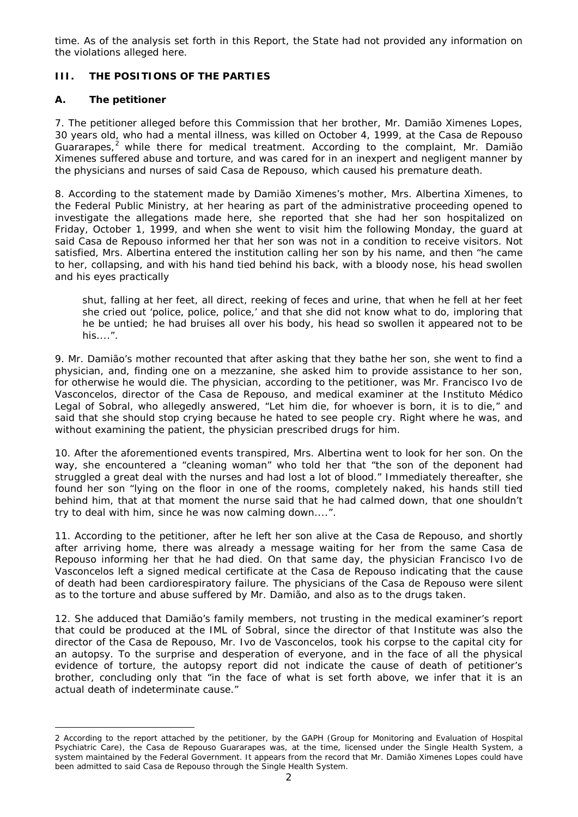time. As of the analysis set forth in this Report, the State had not provided any information on the violations alleged here.

# **III. THE POSITIONS OF THE PARTIES**

## **A. The petitioner**

7. The petitioner alleged before this Commission that her brother, Mr. Damião Ximenes Lopes, 30 years old, who had a mental illness, was killed on October 4, 1999, at the *Casa de Repouso*  Guararapes,<sup>[2](#page-1-0)</sup> while there for medical treatment. According to the complaint, Mr. Damião Ximenes suffered abuse and torture, and was cared for in an inexpert and negligent manner by the physicians and nurses of said *Casa de Repouso*, which caused his premature death.

8. According to the statement made by Damião Ximenes's mother, Mrs. Albertina Ximenes, to the Federal Public Ministry, at her hearing as part of the administrative proceeding opened to investigate the allegations made here, she reported that she had her son hospitalized on Friday, October 1, 1999, and when she went to visit him the following Monday, the guard at said *Casa de Repouso* informed her that her son was not in a condition to receive visitors. Not satisfied, Mrs. Albertina entered the institution calling her son by his name, and then "he came to her, collapsing, and with his hand tied behind his back, with a bloody nose, his head swollen and his eyes practically

shut, falling at her feet, all direct, reeking of feces and urine, that when he fell at her feet she cried out 'police, police, police,' and that she did not know what to do, imploring that he be untied; he had bruises all over his body, his head so swollen it appeared not to be his....".

9. Mr. Damião's mother recounted that after asking that they bathe her son, she went to find a physician, and, finding one on a mezzanine, she asked him to provide assistance to her son, for otherwise he would die. The physician, according to the petitioner, was Mr. Francisco Ivo de Vasconcelos, director of the *Casa de Repouso*, and medical examiner at the *Instituto Médico Legal of Sobral*, who allegedly answered, "Let him die, for whoever is born, it is to die," and said that she should stop crying because he hated to see people cry. Right where he was, and without examining the patient, the physician prescribed drugs for him.

10. After the aforementioned events transpired, Mrs. Albertina went to look for her son. On the way, she encountered a "cleaning woman" who told her that "the son of the deponent had struggled a great deal with the nurses and had lost a lot of blood." Immediately thereafter, she found her son "lying on the floor in one of the rooms, completely naked, his hands still tied behind him, that at that moment the nurse said that he had calmed down, that one shouldn't try to deal with him, since he was now calming down....".

11. According to the petitioner, after he left her son alive at the *Casa de Repouso*, and shortly after arriving home, there was already a message waiting for her from the same *Casa de Repouso* informing her that he had died. On that same day, the physician Francisco Ivo de Vasconcelos left a signed medical certificate at the *Casa de Repouso* indicating that the cause of death had been cardiorespiratory failure. The physicians of the *Casa de Repouso* were silent as to the torture and abuse suffered by Mr. Damião, and also as to the drugs taken.

12. She adduced that Damião's family members, not trusting in the medical examiner's report that could be produced at the IML of Sobral, since the director of that Institute was also the director of the *Casa de Repouso*, Mr. Ivo de Vasconcelos, took his corpse to the capital city for an autopsy. To the surprise and desperation of everyone, and in the face of all the physical evidence of torture, the autopsy report did not indicate the cause of death of petitioner's brother, concluding only that "in the face of what is set forth above, we infer that it is an actual death of indeterminate cause."

<span id="page-1-0"></span><sup>&</sup>lt;u>.</u> 2 According to the report attached by the petitioner, by the GAPH (Group for Monitoring and Evaluation of Hospital Psychiatric Care), the *Casa de Repouso Guararapes* was, at the time, licensed under the Single Health System, a system maintained by the Federal Government. It appears from the record that Mr. Damião Ximenes Lopes could have been admitted to said *Casa de Repouso* through the Single Health System.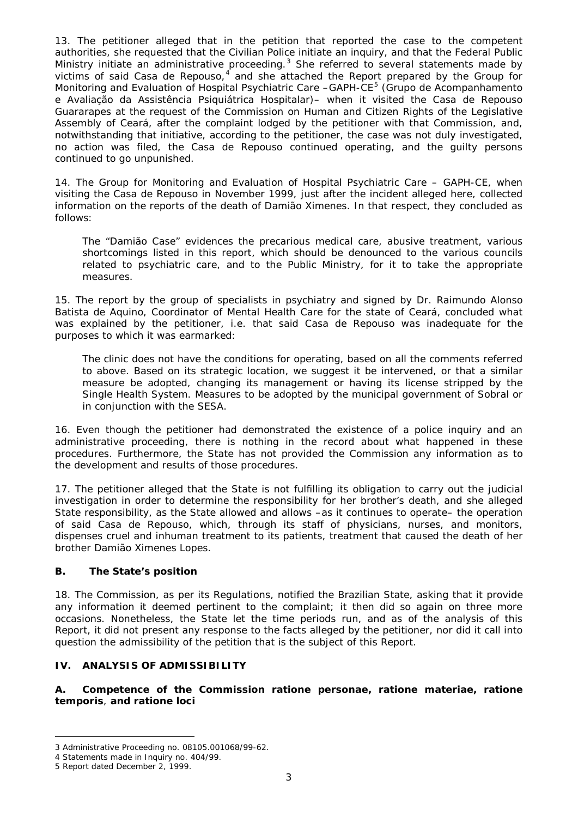13. The petitioner alleged that in the petition that reported the case to the competent authorities, she requested that the Civilian Police initiate an inquiry, and that the Federal Public Ministry initiate an administrative proceeding.<sup>[3](#page-2-0)</sup> She referred to several statements made by victims of said *Casa de Repouso*,<sup>[4](#page-2-1)</sup> and she attached the Report prepared by the Group for Monitoring and Evaluation of Hospital Psychiatric Care -GAPH-CE<sup>[5](#page-2-2)</sup> (Grupo de Acompanhamento *e Avaliação da Assistência Psiquiátrica Hospitalar*)– when it visited the *Casa de Repouso Guararapes* at the request of the Commission on Human and Citizen Rights of the Legislative Assembly of Ceará, after the complaint lodged by the petitioner with that Commission, and, notwithstanding that initiative, according to the petitioner, the case was not duly investigated, no action was filed, the *Casa de Repouso* continued operating, and the guilty persons continued to go unpunished.

14. The Group for Monitoring and Evaluation of Hospital Psychiatric Care – GAPH-CE, when visiting the *Casa de Repouso* in November 1999, just after the incident alleged here, collected information on the reports of the death of Damião Ximenes. In that respect, they concluded as follows:

The "Damião Case" evidences the precarious medical care, abusive treatment, various shortcomings listed in this report, which should be denounced to the various councils related to psychiatric care, and to the Public Ministry, for it to take the appropriate measures.

15. The report by the group of specialists in psychiatry and signed by Dr. Raimundo Alonso Batista de Aquino, Coordinator of Mental Health Care for the state of Ceará, concluded what was explained by the petitioner, i.e. that said *Casa de Repouso* was inadequate for the purposes to which it was earmarked:

The clinic does not have the conditions for operating, based on all the comments referred to above. Based on its strategic location, we suggest it be intervened, or that a similar measure be adopted, changing its management or having its license stripped by the Single Health System. Measures to be adopted by the municipal government of Sobral or in conjunction with the SESA.

16. Even though the petitioner had demonstrated the existence of a police inquiry and an administrative proceeding, there is nothing in the record about what happened in these procedures. Furthermore, the State has not provided the Commission any information as to the development and results of those procedures.

17. The petitioner alleged that the State is not fulfilling its obligation to carry out the judicial investigation in order to determine the responsibility for her brother's death, and she alleged State responsibility, as the State allowed and allows –as it continues to operate– the operation of said *Casa de Repouso*, which, through its staff of physicians, nurses, and monitors, dispenses cruel and inhuman treatment to its patients, treatment that caused the death of her brother Damião Ximenes Lopes.

## **B. The State's position**

18. The Commission, as per its Regulations, notified the Brazilian State, asking that it provide any information it deemed pertinent to the complaint; it then did so again on three more occasions. Nonetheless, the State let the time periods run, and as of the analysis of this Report, it did not present any response to the facts alleged by the petitioner, nor did it call into question the admissibility of the petition that is the subject of this Report.

#### **IV. ANALYSIS OF ADMISSIBILITY**

**A. Competence of the Commission** *ratione personae, ratione materiae, ratione temporis*, **and** *ratione loci*

<sup>&</sup>lt;u>.</u> 3 Administrative Proceeding no. 08105.001068/99-62.

<span id="page-2-1"></span><span id="page-2-0"></span><sup>4</sup> Statements made in Inquiry no. 404/99.

<span id="page-2-2"></span><sup>5</sup> Report dated December 2, 1999.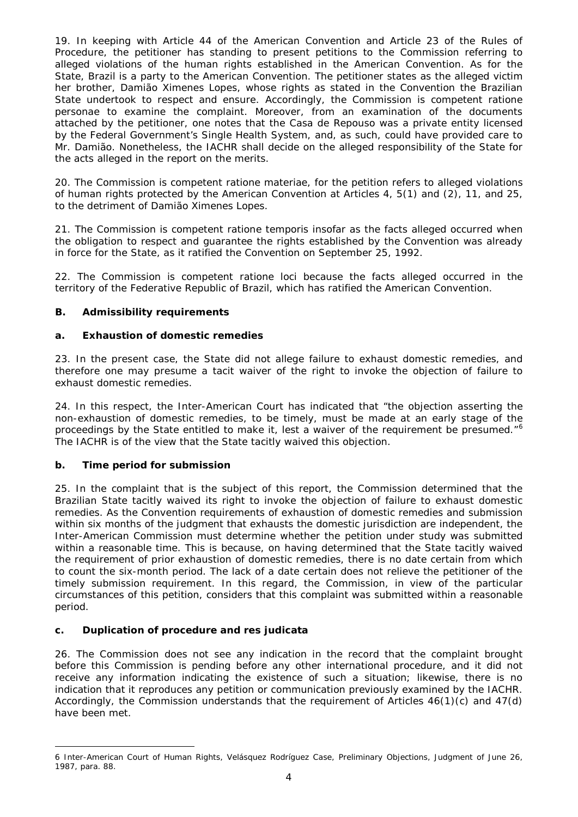19. In keeping with Article 44 of the American Convention and Article 23 of the Rules of Procedure, the petitioner has standing to present petitions to the Commission referring to alleged violations of the human rights established in the American Convention. As for the State, Brazil is a party to the American Convention. The petitioner states as the alleged victim her brother, Damião Ximenes Lopes, whose rights as stated in the Convention the Brazilian State undertook to respect and ensure. Accordingly, the Commission is competent *ratione personae* to examine the complaint. Moreover, from an examination of the documents attached by the petitioner, one notes that the *Casa de Repouso* was a private entity licensed by the Federal Government's Single Health System, and, as such, could have provided care to Mr. Damião. Nonetheless, the IACHR shall decide on the alleged responsibility of the State for the acts alleged in the report on the merits.

20. The Commission is competent *ratione materiae*, for the petition refers to alleged violations of human rights protected by the American Convention at Articles 4, 5(1) and (2), 11, and 25, to the detriment of Damião Ximenes Lopes.

21. The Commission is competent *ratione temporis* insofar as the facts alleged occurred when the obligation to respect and guarantee the rights established by the Convention was already in force for the State, as it ratified the Convention on September 25, 1992.

22. The Commission is competent *ratione loci* because the facts alleged occurred in the territory of the Federative Republic of Brazil, which has ratified the American Convention.

# **B. Admissibility requirements**

## **a. Exhaustion of domestic remedies**

23. In the present case, the State did not allege failure to exhaust domestic remedies, and therefore one may presume a tacit waiver of the right to invoke the objection of failure to exhaust domestic remedies.

24. In this respect, the Inter-American Court has indicated that "the objection asserting the non-exhaustion of domestic remedies, to be timely, must be made at an early stage of the proceedings by the State entitled to make it, lest a waiver of the requirement be presumed."<sup>[6](#page-3-0)</sup> The IACHR is of the view that the State tacitly waived this objection.

## **b. Time period for submission**

25. In the complaint that is the subject of this report, the Commission determined that the Brazilian State tacitly waived its right to invoke the objection of failure to exhaust domestic remedies. As the Convention requirements of exhaustion of domestic remedies and submission within six months of the judgment that exhausts the domestic jurisdiction are independent, the Inter-American Commission must determine whether the petition under study was submitted within a reasonable time. This is because, on having determined that the State tacitly waived the requirement of prior exhaustion of domestic remedies, there is no date certain from which to count the six-month period. The lack of a date certain does not relieve the petitioner of the timely submission requirement. In this regard, the Commission, in view of the particular circumstances of this petition, considers that this complaint was submitted within a reasonable period.

## **c. Duplication of procedure and** *res judicata*

26. The Commission does not see any indication in the record that the complaint brought before this Commission is pending before any other international procedure, and it did not receive any information indicating the existence of such a situation; likewise, there is no indication that it reproduces any petition or communication previously examined by the IACHR. Accordingly, the Commission understands that the requirement of Articles  $46(1)(c)$  and  $47(d)$ have been met.

<span id="page-3-0"></span><sup>&</sup>lt;u>.</u> 6 Inter-American Court of Human Rights, *Velásquez Rodríguez Case*, Preliminary Objections, Judgment of June 26, 1987, para. 88.